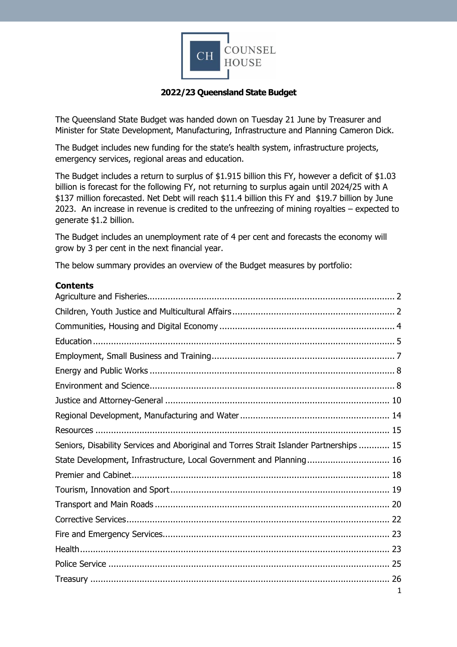

### **2022/23 Queensland State Budget**

The Queensland State Budget was handed down on Tuesday 21 June by Treasurer and Minister for State Development, Manufacturing, Infrastructure and Planning Cameron Dick.

The Budget includes new funding for the state's health system, infrastructure projects, emergency services, regional areas and education.

The Budget includes a return to surplus of \$1.915 billion this FY, however a deficit of \$1.03 billion is forecast for the following FY, not returning to surplus again until 2024/25 with A \$137 million forecasted. Net Debt will reach \$11.4 billion this FY and \$19.7 billion by June 2023. An increase in revenue is credited to the unfreezing of mining royalties – expected to generate \$1.2 billion.

The Budget includes an unemployment rate of 4 per cent and forecasts the economy will grow by 3 per cent in the next financial year.

The below summary provides an overview of the Budget measures by portfolio:

#### **Contents**

| Seniors, Disability Services and Aboriginal and Torres Strait Islander Partnerships  15 |   |
|-----------------------------------------------------------------------------------------|---|
| State Development, Infrastructure, Local Government and Planning 16                     |   |
|                                                                                         |   |
|                                                                                         |   |
|                                                                                         |   |
|                                                                                         |   |
|                                                                                         |   |
|                                                                                         |   |
|                                                                                         |   |
|                                                                                         |   |
|                                                                                         | 1 |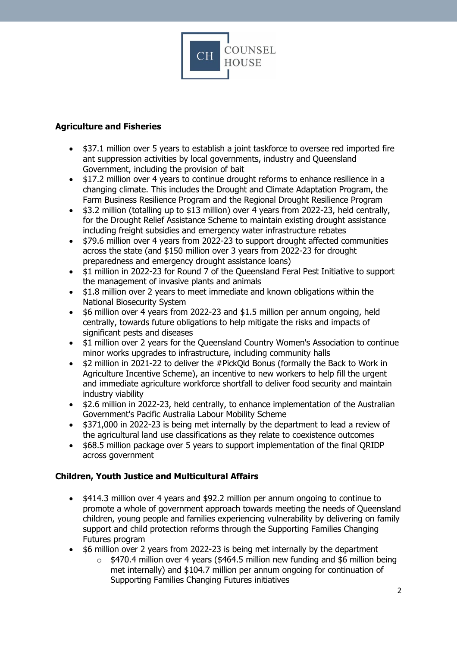

## <span id="page-1-0"></span>**Agriculture and Fisheries**

- \$37.1 million over 5 years to establish a joint taskforce to oversee red imported fire ant suppression activities by local governments, industry and Queensland Government, including the provision of bait
- \$17.2 million over 4 years to continue drought reforms to enhance resilience in a changing climate. This includes the Drought and Climate Adaptation Program, the Farm Business Resilience Program and the Regional Drought Resilience Program
- \$3.2 million (totalling up to \$13 million) over 4 years from 2022-23, held centrally, for the Drought Relief Assistance Scheme to maintain existing drought assistance including freight subsidies and emergency water infrastructure rebates
- \$79.6 million over 4 years from 2022-23 to support drought affected communities across the state (and \$150 million over 3 years from 2022-23 for drought preparedness and emergency drought assistance loans)
- \$1 million in 2022-23 for Round 7 of the Queensland Feral Pest Initiative to support the management of invasive plants and animals
- \$1.8 million over 2 years to meet immediate and known obligations within the National Biosecurity System
- \$6 million over 4 years from 2022-23 and \$1.5 million per annum ongoing, held centrally, towards future obligations to help mitigate the risks and impacts of significant pests and diseases
- \$1 million over 2 years for the Queensland Country Women's Association to continue minor works upgrades to infrastructure, including community halls
- \$2 million in 2021-22 to deliver the #PickQld Bonus (formally the Back to Work in Agriculture Incentive Scheme), an incentive to new workers to help fill the urgent and immediate agriculture workforce shortfall to deliver food security and maintain industry viability
- \$2.6 million in 2022-23, held centrally, to enhance implementation of the Australian Government's Pacific Australia Labour Mobility Scheme
- \$371,000 in 2022-23 is being met internally by the department to lead a review of the agricultural land use classifications as they relate to coexistence outcomes
- \$68.5 million package over 5 years to support implementation of the final QRIDP across government

# <span id="page-1-1"></span>**Children, Youth Justice and Multicultural Affairs**

- \$414.3 million over 4 years and \$92.2 million per annum ongoing to continue to promote a whole of government approach towards meeting the needs of Queensland children, young people and families experiencing vulnerability by delivering on family support and child protection reforms through the Supporting Families Changing Futures program
- \$6 million over 2 years from 2022-23 is being met internally by the department
	- $\circ$  \$470.4 million over 4 years (\$464.5 million new funding and \$6 million being met internally) and \$104.7 million per annum ongoing for continuation of Supporting Families Changing Futures initiatives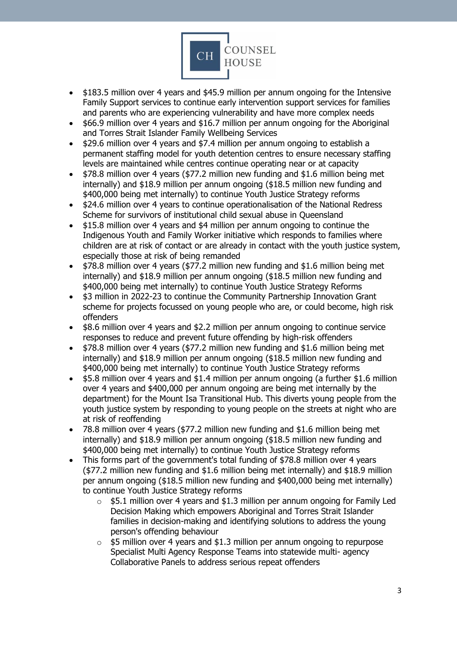

- \$183.5 million over 4 years and \$45.9 million per annum ongoing for the Intensive Family Support services to continue early intervention support services for families and parents who are experiencing vulnerability and have more complex needs
- \$66.9 million over 4 years and \$16.7 million per annum ongoing for the Aboriginal and Torres Strait Islander Family Wellbeing Services
- \$29.6 million over 4 years and \$7.4 million per annum ongoing to establish a permanent staffing model for youth detention centres to ensure necessary staffing levels are maintained while centres continue operating near or at capacity
- \$78.8 million over 4 years (\$77.2 million new funding and \$1.6 million being met internally) and \$18.9 million per annum ongoing (\$18.5 million new funding and \$400,000 being met internally) to continue Youth Justice Strategy reforms
- \$24.6 million over 4 years to continue operationalisation of the National Redress Scheme for survivors of institutional child sexual abuse in Queensland
- \$15.8 million over 4 years and \$4 million per annum ongoing to continue the Indigenous Youth and Family Worker initiative which responds to families where children are at risk of contact or are already in contact with the youth justice system, especially those at risk of being remanded
- \$78.8 million over 4 years (\$77.2 million new funding and \$1.6 million being met internally) and \$18.9 million per annum ongoing (\$18.5 million new funding and \$400,000 being met internally) to continue Youth Justice Strategy Reforms
- \$3 million in 2022-23 to continue the Community Partnership Innovation Grant scheme for projects focussed on young people who are, or could become, high risk offenders
- \$8.6 million over 4 years and \$2.2 million per annum ongoing to continue service responses to reduce and prevent future offending by high-risk offenders
- \$78.8 million over 4 years (\$77.2 million new funding and \$1.6 million being met internally) and \$18.9 million per annum ongoing (\$18.5 million new funding and \$400,000 being met internally) to continue Youth Justice Strategy reforms
- \$5.8 million over 4 years and \$1.4 million per annum ongoing (a further \$1.6 million over 4 years and \$400,000 per annum ongoing are being met internally by the department) for the Mount Isa Transitional Hub. This diverts young people from the youth justice system by responding to young people on the streets at night who are at risk of reoffending
- 78.8 million over 4 years (\$77.2 million new funding and \$1.6 million being met internally) and \$18.9 million per annum ongoing (\$18.5 million new funding and \$400,000 being met internally) to continue Youth Justice Strategy reforms
- This forms part of the government's total funding of \$78.8 million over 4 years (\$77.2 million new funding and \$1.6 million being met internally) and \$18.9 million per annum ongoing (\$18.5 million new funding and \$400,000 being met internally) to continue Youth Justice Strategy reforms
	- $\circ$  \$5.1 million over 4 years and \$1.3 million per annum ongoing for Family Led Decision Making which empowers Aboriginal and Torres Strait Islander families in decision-making and identifying solutions to address the young person's offending behaviour
	- $\circ$  \$5 million over 4 years and \$1.3 million per annum ongoing to repurpose Specialist Multi Agency Response Teams into statewide multi- agency Collaborative Panels to address serious repeat offenders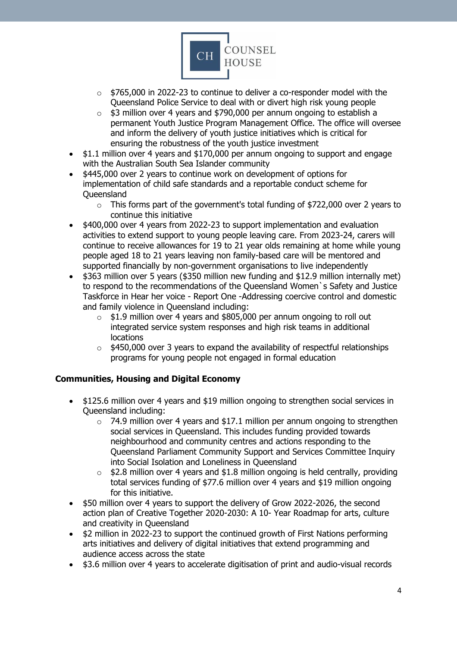

- $\circ$  \$765,000 in 2022-23 to continue to deliver a co-responder model with the Queensland Police Service to deal with or divert high risk young people
- o \$3 million over 4 years and \$790,000 per annum ongoing to establish a permanent Youth Justice Program Management Office. The office will oversee and inform the delivery of youth justice initiatives which is critical for ensuring the robustness of the youth justice investment
- \$1.1 million over 4 years and \$170,000 per annum ongoing to support and engage with the Australian South Sea Islander community
- \$445,000 over 2 years to continue work on development of options for implementation of child safe standards and a reportable conduct scheme for **Queensland** 
	- $\circ$  This forms part of the government's total funding of \$722,000 over 2 years to continue this initiative
- \$400,000 over 4 years from 2022-23 to support implementation and evaluation activities to extend support to young people leaving care. From 2023-24, carers will continue to receive allowances for 19 to 21 year olds remaining at home while young people aged 18 to 21 years leaving non family-based care will be mentored and supported financially by non-government organisations to live independently
- \$363 million over 5 years (\$350 million new funding and \$12.9 million internally met) to respond to the recommendations of the Queensland Women`s Safety and Justice Taskforce in Hear her voice - Report One -Addressing coercive control and domestic and family violence in Queensland including:
	- \$1.9 million over 4 years and \$805,000 per annum ongoing to roll out integrated service system responses and high risk teams in additional locations
	- $\circ$  \$450,000 over 3 years to expand the availability of respectful relationships programs for young people not engaged in formal education

#### <span id="page-3-0"></span>**Communities, Housing and Digital Economy**

- \$125.6 million over 4 years and \$19 million ongoing to strengthen social services in Queensland including:
	- o 74.9 million over 4 years and \$17.1 million per annum ongoing to strengthen social services in Queensland. This includes funding provided towards neighbourhood and community centres and actions responding to the Queensland Parliament Community Support and Services Committee Inquiry into Social Isolation and Loneliness in Queensland
	- $\circ$  \$2.8 million over 4 years and \$1.8 million ongoing is held centrally, providing total services funding of \$77.6 million over 4 years and \$19 million ongoing for this initiative.
- \$50 million over 4 years to support the delivery of Grow 2022-2026, the second action plan of Creative Together 2020-2030: A 10- Year Roadmap for arts, culture and creativity in Queensland
- \$2 million in 2022-23 to support the continued growth of First Nations performing arts initiatives and delivery of digital initiatives that extend programming and audience access across the state
- \$3.6 million over 4 years to accelerate digitisation of print and audio-visual records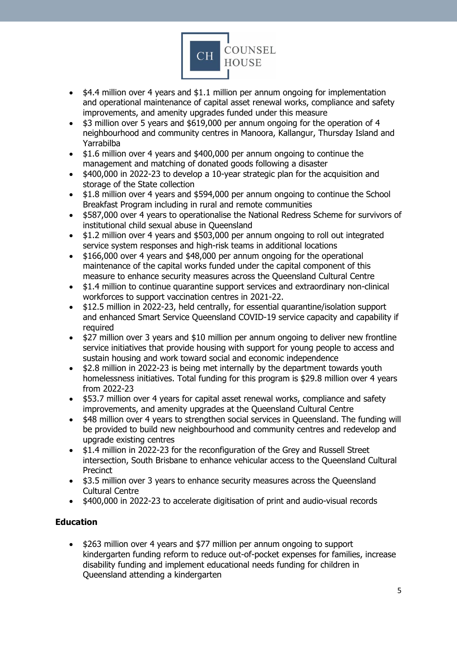

- \$4.4 million over 4 years and \$1.1 million per annum ongoing for implementation and operational maintenance of capital asset renewal works, compliance and safety improvements, and amenity upgrades funded under this measure
- \$3 million over 5 years and \$619,000 per annum ongoing for the operation of 4 neighbourhood and community centres in Manoora, Kallangur, Thursday Island and Yarrabilba
- \$1.6 million over 4 years and \$400,000 per annum ongoing to continue the management and matching of donated goods following a disaster
- \$400,000 in 2022-23 to develop a 10-year strategic plan for the acquisition and storage of the State collection
- \$1.8 million over 4 years and \$594,000 per annum ongoing to continue the School Breakfast Program including in rural and remote communities
- \$587,000 over 4 years to operationalise the National Redress Scheme for survivors of institutional child sexual abuse in Queensland
- \$1.2 million over 4 years and \$503,000 per annum ongoing to roll out integrated service system responses and high-risk teams in additional locations
- \$166,000 over 4 years and \$48,000 per annum ongoing for the operational maintenance of the capital works funded under the capital component of this measure to enhance security measures across the Queensland Cultural Centre
- \$1.4 million to continue quarantine support services and extraordinary non-clinical workforces to support vaccination centres in 2021-22.
- \$12.5 million in 2022-23, held centrally, for essential quarantine/isolation support and enhanced Smart Service Queensland COVID-19 service capacity and capability if required
- \$27 million over 3 years and \$10 million per annum ongoing to deliver new frontline service initiatives that provide housing with support for young people to access and sustain housing and work toward social and economic independence
- \$2.8 million in 2022-23 is being met internally by the department towards youth homelessness initiatives. Total funding for this program is \$29.8 million over 4 years from 2022-23
- \$53.7 million over 4 years for capital asset renewal works, compliance and safety improvements, and amenity upgrades at the Queensland Cultural Centre
- \$48 million over 4 years to strengthen social services in Queensland. The funding will be provided to build new neighbourhood and community centres and redevelop and upgrade existing centres
- \$1.4 million in 2022-23 for the reconfiguration of the Grey and Russell Street intersection, South Brisbane to enhance vehicular access to the Queensland Cultural Precinct
- \$3.5 million over 3 years to enhance security measures across the Queensland Cultural Centre
- \$400,000 in 2022-23 to accelerate digitisation of print and audio-visual records

# <span id="page-4-0"></span>**Education**

• \$263 million over 4 years and \$77 million per annum ongoing to support kindergarten funding reform to reduce out-of-pocket expenses for families, increase disability funding and implement educational needs funding for children in Queensland attending a kindergarten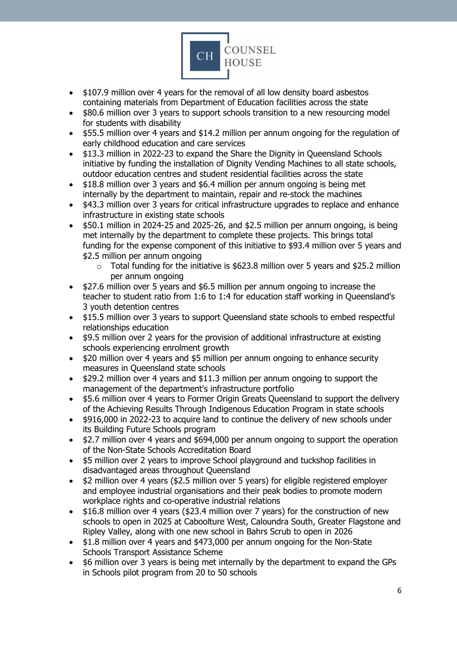

- \$107.9 million over 4 years for the removal of all low density board asbestos containing materials from Department of Education facilities across the state
- \$80.6 million over 3 years to support schools transition to a new resourcing model for students with disability
- \$55.5 million over 4 years and \$14.2 million per annum ongoing for the regulation of early childhood education and care services
- \$13.3 million in 2022-23 to expand the Share the Dignity in Queensland Schools initiative by funding the installation of Dignity Vending Machines to all state schools, outdoor education centres and student residential facilities across the state
- \$18.8 million over 3 years and \$6.4 million per annum ongoing is being met internally by the department to maintain, repair and re-stock the machines
- \$43.3 million over 3 years for critical infrastructure upgrades to replace and enhance infrastructure in existing state schools
- \$50.1 million in 2024-25 and 2025-26, and \$2.5 million per annum ongoing, is being met internally by the department to complete these projects. This brings total funding for the expense component of this initiative to \$93.4 million over 5 years and \$2.5 million per annum ongoing
	- $\circ$  Total funding for the initiative is \$623.8 million over 5 years and \$25.2 million per annum ongoing
- \$27.6 million over 5 years and \$6.5 million per annum ongoing to increase the teacher to student ratio from 1:6 to 1:4 for education staff working in Queensland's 3 youth detention centres
- \$15.5 million over 3 years to support Queensland state schools to embed respectful relationships education
- \$9.5 million over 2 years for the provision of additional infrastructure at existing schools experiencing enrolment growth
- \$20 million over 4 years and \$5 million per annum ongoing to enhance security measures in Queensland state schools
- \$29.2 million over 4 years and \$11.3 million per annum ongoing to support the management of the department's infrastructure portfolio
- \$5.6 million over 4 years to Former Origin Greats Queensland to support the delivery of the Achieving Results Through Indigenous Education Program in state schools
- \$916,000 in 2022-23 to acquire land to continue the delivery of new schools under its Building Future Schools program
- \$2.7 million over 4 years and \$694,000 per annum ongoing to support the operation of the Non-State Schools Accreditation Board
- \$5 million over 2 years to improve School playground and tuckshop facilities in disadvantaged areas throughout Queensland
- \$2 million over 4 years (\$2.5 million over 5 years) for eligible registered employer and employee industrial organisations and their peak bodies to promote modern workplace rights and co-operative industrial relations
- \$16.8 million over 4 years (\$23.4 million over 7 years) for the construction of new schools to open in 2025 at Caboolture West, Caloundra South, Greater Flagstone and Ripley Valley, along with one new school in Bahrs Scrub to open in 2026
- \$1.8 million over 4 years and \$473,000 per annum ongoing for the Non-State Schools Transport Assistance Scheme
- \$6 million over 3 years is being met internally by the department to expand the GPs in Schools pilot program from 20 to 50 schools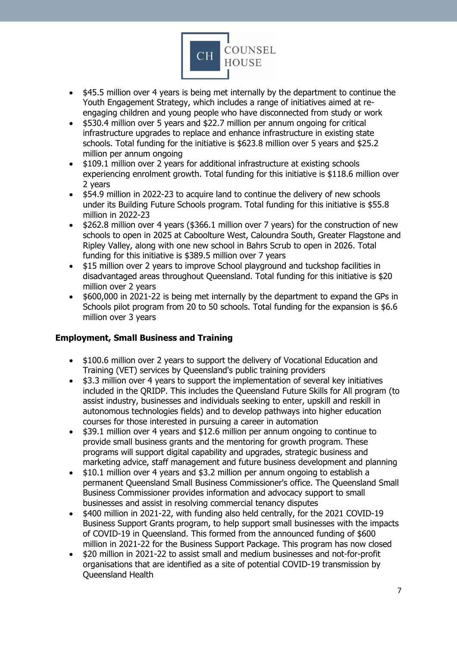

- \$45.5 million over 4 years is being met internally by the department to continue the Youth Engagement Strategy, which includes a range of initiatives aimed at reengaging children and young people who have disconnected from study or work
- \$530.4 million over 5 years and \$22.7 million per annum ongoing for critical infrastructure upgrades to replace and enhance infrastructure in existing state schools. Total funding for the initiative is \$623.8 million over 5 years and \$25.2 million per annum ongoing
- \$109.1 million over 2 years for additional infrastructure at existing schools experiencing enrolment growth. Total funding for this initiative is \$118.6 million over 2 years
- \$54.9 million in 2022-23 to acquire land to continue the delivery of new schools under its Building Future Schools program. Total funding for this initiative is \$55.8 million in 2022-23
- \$262.8 million over 4 years (\$366.1 million over 7 years) for the construction of new schools to open in 2025 at Caboolture West, Caloundra South, Greater Flagstone and Ripley Valley, along with one new school in Bahrs Scrub to open in 2026. Total funding for this initiative is \$389.5 million over 7 years
- \$15 million over 2 years to improve School playground and tuckshop facilities in disadvantaged areas throughout Queensland. Total funding for this initiative is \$20 million over 2 years
- \$600,000 in 2021-22 is being met internally by the department to expand the GPs in Schools pilot program from 20 to 50 schools. Total funding for the expansion is \$6.6 million over 3 years

#### <span id="page-6-0"></span>**Employment, Small Business and Training**

- \$100.6 million over 2 years to support the delivery of Vocational Education and Training (VET) services by Queensland's public training providers
- \$3.3 million over 4 years to support the implementation of several key initiatives included in the QRIDP. This includes the Queensland Future Skills for All program (to assist industry, businesses and individuals seeking to enter, upskill and reskill in autonomous technologies fields) and to develop pathways into higher education courses for those interested in pursuing a career in automation
- \$39.1 million over 4 years and \$12.6 million per annum ongoing to continue to provide small business grants and the mentoring for growth program. These programs will support digital capability and upgrades, strategic business and marketing advice, staff management and future business development and planning
- \$10.1 million over 4 years and \$3.2 million per annum ongoing to establish a permanent Queensland Small Business Commissioner's office. The Queensland Small Business Commissioner provides information and advocacy support to small businesses and assist in resolving commercial tenancy disputes
- \$400 million in 2021-22, with funding also held centrally, for the 2021 COVID-19 Business Support Grants program, to help support small businesses with the impacts of COVID-19 in Queensland. This formed from the announced funding of \$600 million in 2021-22 for the Business Support Package. This program has now closed
- \$20 million in 2021-22 to assist small and medium businesses and not-for-profit organisations that are identified as a site of potential COVID-19 transmission by Queensland Health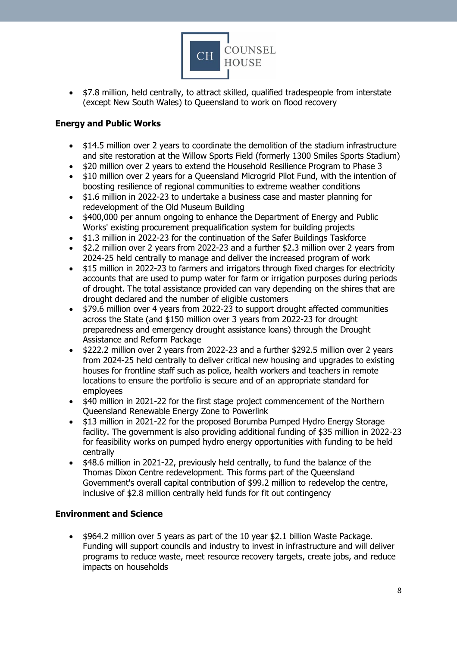

• \$7.8 million, held centrally, to attract skilled, qualified tradespeople from interstate (except New South Wales) to Queensland to work on flood recovery

### <span id="page-7-0"></span>**Energy and Public Works**

- \$14.5 million over 2 years to coordinate the demolition of the stadium infrastructure and site restoration at the Willow Sports Field (formerly 1300 Smiles Sports Stadium)
- \$20 million over 2 years to extend the Household Resilience Program to Phase 3
- \$10 million over 2 years for a Queensland Microgrid Pilot Fund, with the intention of boosting resilience of regional communities to extreme weather conditions
- \$1.6 million in 2022-23 to undertake a business case and master planning for redevelopment of the Old Museum Building
- \$400,000 per annum ongoing to enhance the Department of Energy and Public Works' existing procurement prequalification system for building projects
- \$1.3 million in 2022-23 for the continuation of the Safer Buildings Taskforce
- \$2.2 million over 2 years from 2022-23 and a further \$2.3 million over 2 years from 2024-25 held centrally to manage and deliver the increased program of work
- \$15 million in 2022-23 to farmers and irrigators through fixed charges for electricity accounts that are used to pump water for farm or irrigation purposes during periods of drought. The total assistance provided can vary depending on the shires that are drought declared and the number of eligible customers
- \$79.6 million over 4 years from 2022-23 to support drought affected communities across the State (and \$150 million over 3 years from 2022-23 for drought preparedness and emergency drought assistance loans) through the Drought Assistance and Reform Package
- \$222.2 million over 2 years from 2022-23 and a further \$292.5 million over 2 years from 2024-25 held centrally to deliver critical new housing and upgrades to existing houses for frontline staff such as police, health workers and teachers in remote locations to ensure the portfolio is secure and of an appropriate standard for employees
- \$40 million in 2021-22 for the first stage project commencement of the Northern Queensland Renewable Energy Zone to Powerlink
- \$13 million in 2021-22 for the proposed Borumba Pumped Hydro Energy Storage facility. The government is also providing additional funding of \$35 million in 2022-23 for feasibility works on pumped hydro energy opportunities with funding to be held centrally
- \$48.6 million in 2021-22, previously held centrally, to fund the balance of the Thomas Dixon Centre redevelopment. This forms part of the Queensland Government's overall capital contribution of \$99.2 million to redevelop the centre, inclusive of \$2.8 million centrally held funds for fit out contingency

# <span id="page-7-1"></span>**Environment and Science**

• \$964.2 million over 5 years as part of the 10 year \$2.1 billion Waste Package. Funding will support councils and industry to invest in infrastructure and will deliver programs to reduce waste, meet resource recovery targets, create jobs, and reduce impacts on households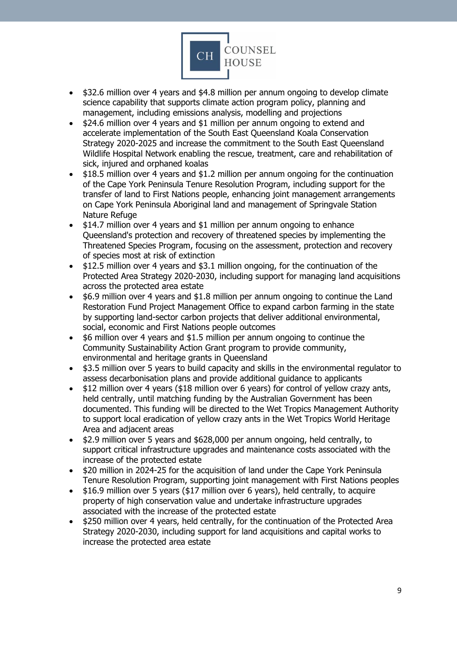

- \$32.6 million over 4 years and \$4.8 million per annum ongoing to develop climate science capability that supports climate action program policy, planning and management, including emissions analysis, modelling and projections
- \$24.6 million over 4 years and \$1 million per annum ongoing to extend and accelerate implementation of the South East Queensland Koala Conservation Strategy 2020-2025 and increase the commitment to the South East Queensland Wildlife Hospital Network enabling the rescue, treatment, care and rehabilitation of sick, injured and orphaned koalas
- \$18.5 million over 4 years and \$1.2 million per annum ongoing for the continuation of the Cape York Peninsula Tenure Resolution Program, including support for the transfer of land to First Nations people, enhancing joint management arrangements on Cape York Peninsula Aboriginal land and management of Springvale Station Nature Refuge
- \$14.7 million over 4 years and \$1 million per annum ongoing to enhance Queensland's protection and recovery of threatened species by implementing the Threatened Species Program, focusing on the assessment, protection and recovery of species most at risk of extinction
- \$12.5 million over 4 years and \$3.1 million ongoing, for the continuation of the Protected Area Strategy 2020-2030, including support for managing land acquisitions across the protected area estate
- \$6.9 million over 4 years and \$1.8 million per annum ongoing to continue the Land Restoration Fund Project Management Office to expand carbon farming in the state by supporting land-sector carbon projects that deliver additional environmental, social, economic and First Nations people outcomes
- \$6 million over 4 years and \$1.5 million per annum ongoing to continue the Community Sustainability Action Grant program to provide community, environmental and heritage grants in Queensland
- \$3.5 million over 5 years to build capacity and skills in the environmental regulator to assess decarbonisation plans and provide additional guidance to applicants
- \$12 million over 4 years (\$18 million over 6 years) for control of yellow crazy ants, held centrally, until matching funding by the Australian Government has been documented. This funding will be directed to the Wet Tropics Management Authority to support local eradication of yellow crazy ants in the Wet Tropics World Heritage Area and adjacent areas
- \$2.9 million over 5 years and \$628,000 per annum ongoing, held centrally, to support critical infrastructure upgrades and maintenance costs associated with the increase of the protected estate
- \$20 million in 2024-25 for the acquisition of land under the Cape York Peninsula Tenure Resolution Program, supporting joint management with First Nations peoples
- \$16.9 million over 5 years (\$17 million over 6 years), held centrally, to acquire property of high conservation value and undertake infrastructure upgrades associated with the increase of the protected estate
- \$250 million over 4 years, held centrally, for the continuation of the Protected Area Strategy 2020-2030, including support for land acquisitions and capital works to increase the protected area estate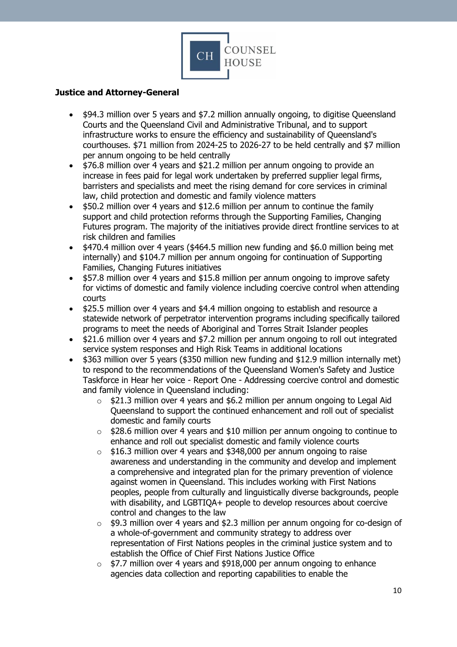

## <span id="page-9-0"></span>**Justice and Attorney-General**

- \$94.3 million over 5 years and \$7.2 million annually ongoing, to digitise Queensland Courts and the Queensland Civil and Administrative Tribunal, and to support infrastructure works to ensure the efficiency and sustainability of Queensland's courthouses. \$71 million from 2024-25 to 2026-27 to be held centrally and \$7 million per annum ongoing to be held centrally
- \$76.8 million over 4 years and \$21.2 million per annum ongoing to provide an increase in fees paid for legal work undertaken by preferred supplier legal firms, barristers and specialists and meet the rising demand for core services in criminal law, child protection and domestic and family violence matters
- \$50.2 million over 4 years and \$12.6 million per annum to continue the family support and child protection reforms through the Supporting Families, Changing Futures program. The majority of the initiatives provide direct frontline services to at risk children and families
- \$470.4 million over 4 years (\$464.5 million new funding and \$6.0 million being met internally) and \$104.7 million per annum ongoing for continuation of Supporting Families, Changing Futures initiatives
- \$57.8 million over 4 years and \$15.8 million per annum ongoing to improve safety for victims of domestic and family violence including coercive control when attending courts
- \$25.5 million over 4 years and \$4.4 million ongoing to establish and resource a statewide network of perpetrator intervention programs including specifically tailored programs to meet the needs of Aboriginal and Torres Strait Islander peoples
- \$21.6 million over 4 years and \$7.2 million per annum ongoing to roll out integrated service system responses and High Risk Teams in additional locations
- \$363 million over 5 years (\$350 million new funding and \$12.9 million internally met) to respond to the recommendations of the Queensland Women's Safety and Justice Taskforce in Hear her voice - Report One - Addressing coercive control and domestic and family violence in Queensland including:
	- o \$21.3 million over 4 years and \$6.2 million per annum ongoing to Legal Aid Queensland to support the continued enhancement and roll out of specialist domestic and family courts
	- $\circ$  \$28.6 million over 4 years and \$10 million per annum ongoing to continue to enhance and roll out specialist domestic and family violence courts
	- $\circ$  \$16.3 million over 4 years and \$348,000 per annum ongoing to raise awareness and understanding in the community and develop and implement a comprehensive and integrated plan for the primary prevention of violence against women in Queensland. This includes working with First Nations peoples, people from culturally and linguistically diverse backgrounds, people with disability, and LGBTIQA+ people to develop resources about coercive control and changes to the law
	- o \$9.3 million over 4 years and \$2.3 million per annum ongoing for co-design of a whole-of-government and community strategy to address over representation of First Nations peoples in the criminal justice system and to establish the Office of Chief First Nations Justice Office
	- o \$7.7 million over 4 years and \$918,000 per annum ongoing to enhance agencies data collection and reporting capabilities to enable the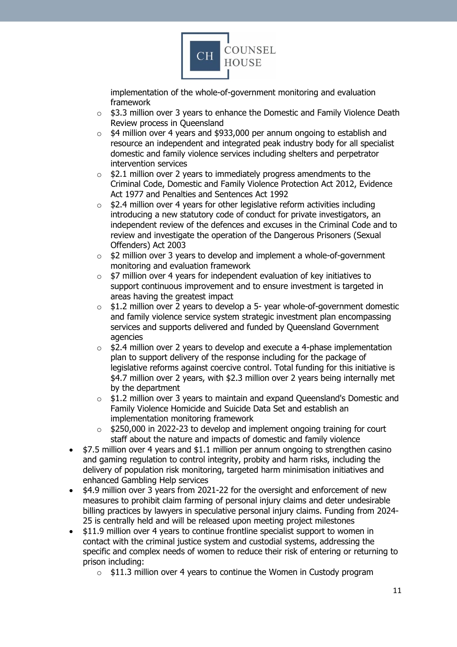

implementation of the whole-of-government monitoring and evaluation framework

- $\circ$  \$3.3 million over 3 years to enhance the Domestic and Family Violence Death Review process in Queensland
- o \$4 million over 4 years and \$933,000 per annum ongoing to establish and resource an independent and integrated peak industry body for all specialist domestic and family violence services including shelters and perpetrator intervention services
- $\circ$  \$2.1 million over 2 years to immediately progress amendments to the Criminal Code, Domestic and Family Violence Protection Act 2012, Evidence Act 1977 and Penalties and Sentences Act 1992
- $\circ$  \$2.4 million over 4 years for other legislative reform activities including introducing a new statutory code of conduct for private investigators, an independent review of the defences and excuses in the Criminal Code and to review and investigate the operation of the Dangerous Prisoners (Sexual Offenders) Act 2003
- o \$2 million over 3 years to develop and implement a whole-of-government monitoring and evaluation framework
- o \$7 million over 4 years for independent evaluation of key initiatives to support continuous improvement and to ensure investment is targeted in areas having the greatest impact
- o \$1.2 million over 2 years to develop a 5- year whole-of-government domestic and family violence service system strategic investment plan encompassing services and supports delivered and funded by Queensland Government agencies
- o \$2.4 million over 2 years to develop and execute a 4-phase implementation plan to support delivery of the response including for the package of legislative reforms against coercive control. Total funding for this initiative is \$4.7 million over 2 years, with \$2.3 million over 2 years being internally met by the department
- $\circ$  \$1.2 million over 3 years to maintain and expand Queensland's Domestic and Family Violence Homicide and Suicide Data Set and establish an implementation monitoring framework
- $\circ$  \$250,000 in 2022-23 to develop and implement ongoing training for court staff about the nature and impacts of domestic and family violence
- \$7.5 million over 4 years and \$1.1 million per annum ongoing to strengthen casino and gaming regulation to control integrity, probity and harm risks, including the delivery of population risk monitoring, targeted harm minimisation initiatives and enhanced Gambling Help services
- \$4.9 million over 3 years from 2021-22 for the oversight and enforcement of new measures to prohibit claim farming of personal injury claims and deter undesirable billing practices by lawyers in speculative personal injury claims. Funding from 2024- 25 is centrally held and will be released upon meeting project milestones
- \$11.9 million over 4 years to continue frontline specialist support to women in contact with the criminal justice system and custodial systems, addressing the specific and complex needs of women to reduce their risk of entering or returning to prison including:
	- $\circ$  \$11.3 million over 4 years to continue the Women in Custody program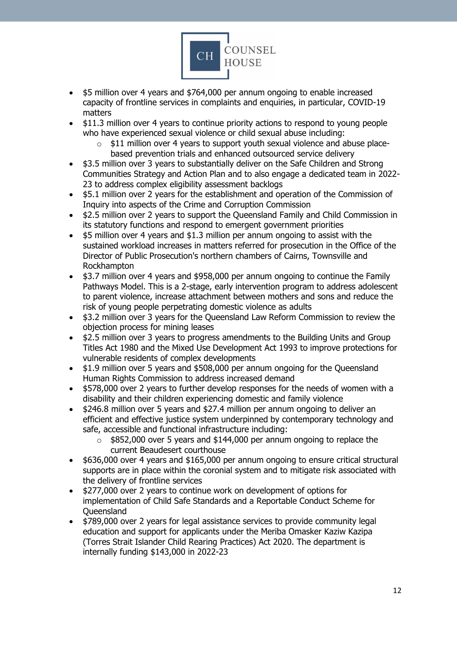

- \$5 million over 4 years and \$764,000 per annum ongoing to enable increased capacity of frontline services in complaints and enquiries, in particular, COVID-19 matters
- \$11.3 million over 4 years to continue priority actions to respond to young people who have experienced sexual violence or child sexual abuse including:
	- $\circ$  \$11 million over 4 years to support youth sexual violence and abuse placebased prevention trials and enhanced outsourced service delivery
- \$3.5 million over 3 years to substantially deliver on the Safe Children and Strong Communities Strategy and Action Plan and to also engage a dedicated team in 2022- 23 to address complex eligibility assessment backlogs
- \$5.1 million over 2 years for the establishment and operation of the Commission of Inquiry into aspects of the Crime and Corruption Commission
- \$2.5 million over 2 years to support the Queensland Family and Child Commission in its statutory functions and respond to emergent government priorities
- \$5 million over 4 years and \$1.3 million per annum ongoing to assist with the sustained workload increases in matters referred for prosecution in the Office of the Director of Public Prosecution's northern chambers of Cairns, Townsville and Rockhampton
- \$3.7 million over 4 years and \$958,000 per annum ongoing to continue the Family Pathways Model. This is a 2-stage, early intervention program to address adolescent to parent violence, increase attachment between mothers and sons and reduce the risk of young people perpetrating domestic violence as adults
- \$3.2 million over 3 years for the Queensland Law Reform Commission to review the objection process for mining leases
- \$2.5 million over 3 years to progress amendments to the Building Units and Group Titles Act 1980 and the Mixed Use Development Act 1993 to improve protections for vulnerable residents of complex developments
- \$1.9 million over 5 years and \$508,000 per annum ongoing for the Queensland Human Rights Commission to address increased demand
- \$578,000 over 2 years to further develop responses for the needs of women with a disability and their children experiencing domestic and family violence
- \$246.8 million over 5 years and \$27.4 million per annum ongoing to deliver an efficient and effective justice system underpinned by contemporary technology and safe, accessible and functional infrastructure including:
	- o \$852,000 over 5 years and \$144,000 per annum ongoing to replace the current Beaudesert courthouse
- \$636,000 over 4 years and \$165,000 per annum ongoing to ensure critical structural supports are in place within the coronial system and to mitigate risk associated with the delivery of frontline services
- \$277,000 over 2 years to continue work on development of options for implementation of Child Safe Standards and a Reportable Conduct Scheme for Queensland
- \$789,000 over 2 years for legal assistance services to provide community legal education and support for applicants under the Meriba Omasker Kaziw Kazipa (Torres Strait Islander Child Rearing Practices) Act 2020. The department is internally funding \$143,000 in 2022-23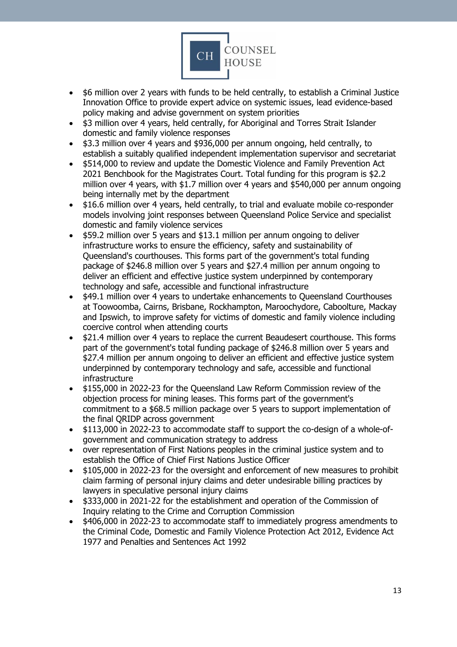

- \$6 million over 2 years with funds to be held centrally, to establish a Criminal Justice Innovation Office to provide expert advice on systemic issues, lead evidence-based policy making and advise government on system priorities
- \$3 million over 4 years, held centrally, for Aboriginal and Torres Strait Islander domestic and family violence responses
- \$3.3 million over 4 years and \$936,000 per annum ongoing, held centrally, to establish a suitably qualified independent implementation supervisor and secretariat
- \$514,000 to review and update the Domestic Violence and Family Prevention Act 2021 Benchbook for the Magistrates Court. Total funding for this program is \$2.2 million over 4 years, with \$1.7 million over 4 years and \$540,000 per annum ongoing being internally met by the department
- \$16.6 million over 4 years, held centrally, to trial and evaluate mobile co-responder models involving joint responses between Queensland Police Service and specialist domestic and family violence services
- \$59.2 million over 5 years and \$13.1 million per annum ongoing to deliver infrastructure works to ensure the efficiency, safety and sustainability of Queensland's courthouses. This forms part of the government's total funding package of \$246.8 million over 5 years and \$27.4 million per annum ongoing to deliver an efficient and effective justice system underpinned by contemporary technology and safe, accessible and functional infrastructure
- \$49.1 million over 4 years to undertake enhancements to Queensland Courthouses at Toowoomba, Cairns, Brisbane, Rockhampton, Maroochydore, Caboolture, Mackay and Ipswich, to improve safety for victims of domestic and family violence including coercive control when attending courts
- \$21.4 million over 4 years to replace the current Beaudesert courthouse. This forms part of the government's total funding package of \$246.8 million over 5 years and \$27.4 million per annum ongoing to deliver an efficient and effective justice system underpinned by contemporary technology and safe, accessible and functional infrastructure
- \$155,000 in 2022-23 for the Queensland Law Reform Commission review of the objection process for mining leases. This forms part of the government's commitment to a \$68.5 million package over 5 years to support implementation of the final QRIDP across government
- \$113,000 in 2022-23 to accommodate staff to support the co-design of a whole-ofgovernment and communication strategy to address
- over representation of First Nations peoples in the criminal justice system and to establish the Office of Chief First Nations Justice Officer
- \$105,000 in 2022-23 for the oversight and enforcement of new measures to prohibit claim farming of personal injury claims and deter undesirable billing practices by lawyers in speculative personal injury claims
- \$333,000 in 2021-22 for the establishment and operation of the Commission of Inquiry relating to the Crime and Corruption Commission
- \$406,000 in 2022-23 to accommodate staff to immediately progress amendments to the Criminal Code, Domestic and Family Violence Protection Act 2012, Evidence Act 1977 and Penalties and Sentences Act 1992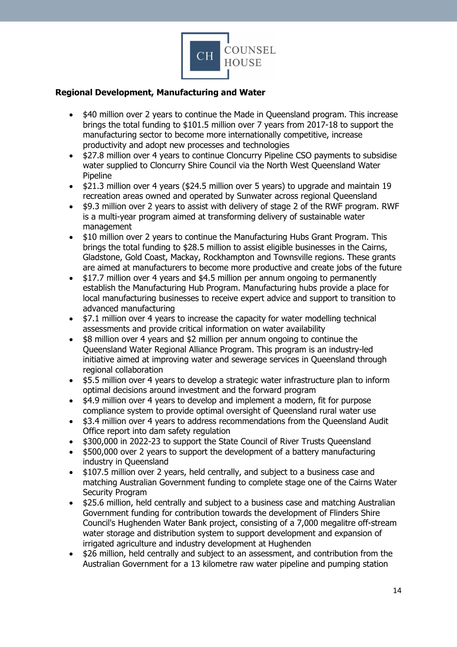

#### <span id="page-13-0"></span>**Regional Development, Manufacturing and Water**

- \$40 million over 2 years to continue the Made in Queensland program. This increase brings the total funding to \$101.5 million over 7 years from 2017-18 to support the manufacturing sector to become more internationally competitive, increase productivity and adopt new processes and technologies
- \$27.8 million over 4 years to continue Cloncurry Pipeline CSO payments to subsidise water supplied to Cloncurry Shire Council via the North West Queensland Water Pipeline
- \$21.3 million over 4 years (\$24.5 million over 5 years) to upgrade and maintain 19 recreation areas owned and operated by Sunwater across regional Queensland
- \$9.3 million over 2 years to assist with delivery of stage 2 of the RWF program. RWF is a multi-year program aimed at transforming delivery of sustainable water management
- \$10 million over 2 years to continue the Manufacturing Hubs Grant Program. This brings the total funding to \$28.5 million to assist eligible businesses in the Cairns, Gladstone, Gold Coast, Mackay, Rockhampton and Townsville regions. These grants are aimed at manufacturers to become more productive and create jobs of the future
- \$17.7 million over 4 years and \$4.5 million per annum ongoing to permanently establish the Manufacturing Hub Program. Manufacturing hubs provide a place for local manufacturing businesses to receive expert advice and support to transition to advanced manufacturing
- \$7.1 million over 4 years to increase the capacity for water modelling technical assessments and provide critical information on water availability
- \$8 million over 4 years and \$2 million per annum ongoing to continue the Queensland Water Regional Alliance Program. This program is an industry-led initiative aimed at improving water and sewerage services in Queensland through regional collaboration
- \$5.5 million over 4 years to develop a strategic water infrastructure plan to inform optimal decisions around investment and the forward program
- \$4.9 million over 4 years to develop and implement a modern, fit for purpose compliance system to provide optimal oversight of Queensland rural water use
- \$3.4 million over 4 years to address recommendations from the Queensland Audit Office report into dam safety regulation
- \$300,000 in 2022-23 to support the State Council of River Trusts Queensland
- \$500,000 over 2 years to support the development of a battery manufacturing industry in Queensland
- \$107.5 million over 2 years, held centrally, and subject to a business case and matching Australian Government funding to complete stage one of the Cairns Water Security Program
- \$25.6 million, held centrally and subject to a business case and matching Australian Government funding for contribution towards the development of Flinders Shire Council's Hughenden Water Bank project, consisting of a 7,000 megalitre off-stream water storage and distribution system to support development and expansion of irrigated agriculture and industry development at Hughenden
- \$26 million, held centrally and subject to an assessment, and contribution from the Australian Government for a 13 kilometre raw water pipeline and pumping station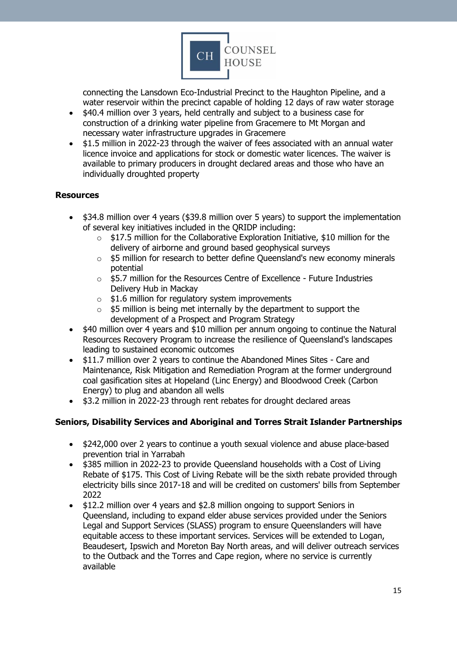

connecting the Lansdown Eco-Industrial Precinct to the Haughton Pipeline, and a water reservoir within the precinct capable of holding 12 days of raw water storage

- \$40.4 million over 3 years, held centrally and subject to a business case for construction of a drinking water pipeline from Gracemere to Mt Morgan and necessary water infrastructure upgrades in Gracemere
- \$1.5 million in 2022-23 through the waiver of fees associated with an annual water licence invoice and applications for stock or domestic water licences. The waiver is available to primary producers in drought declared areas and those who have an individually droughted property

#### <span id="page-14-0"></span>**Resources**

- \$34.8 million over 4 years (\$39.8 million over 5 years) to support the implementation of several key initiatives included in the QRIDP including:
	- $\circ$  \$17.5 million for the Collaborative Exploration Initiative, \$10 million for the delivery of airborne and ground based geophysical surveys
	- o \$5 million for research to better define Queensland's new economy minerals potential
	- o \$5.7 million for the Resources Centre of Excellence Future Industries Delivery Hub in Mackay
	- $\circ$  \$1.6 million for regulatory system improvements
	- $\circ$  \$5 million is being met internally by the department to support the development of a Prospect and Program Strategy
- \$40 million over 4 years and \$10 million per annum ongoing to continue the Natural Resources Recovery Program to increase the resilience of Queensland's landscapes leading to sustained economic outcomes
- \$11.7 million over 2 years to continue the Abandoned Mines Sites Care and Maintenance, Risk Mitigation and Remediation Program at the former underground coal gasification sites at Hopeland (Linc Energy) and Bloodwood Creek (Carbon Energy) to plug and abandon all wells
- \$3.2 million in 2022-23 through rent rebates for drought declared areas

#### <span id="page-14-1"></span>**Seniors, Disability Services and Aboriginal and Torres Strait Islander Partnerships**

- \$242,000 over 2 years to continue a youth sexual violence and abuse place-based prevention trial in Yarrabah
- \$385 million in 2022-23 to provide Queensland households with a Cost of Living Rebate of \$175. This Cost of Living Rebate will be the sixth rebate provided through electricity bills since 2017-18 and will be credited on customers' bills from September 2022
- \$12.2 million over 4 years and \$2.8 million ongoing to support Seniors in Queensland, including to expand elder abuse services provided under the Seniors Legal and Support Services (SLASS) program to ensure Queenslanders will have equitable access to these important services. Services will be extended to Logan, Beaudesert, Ipswich and Moreton Bay North areas, and will deliver outreach services to the Outback and the Torres and Cape region, where no service is currently available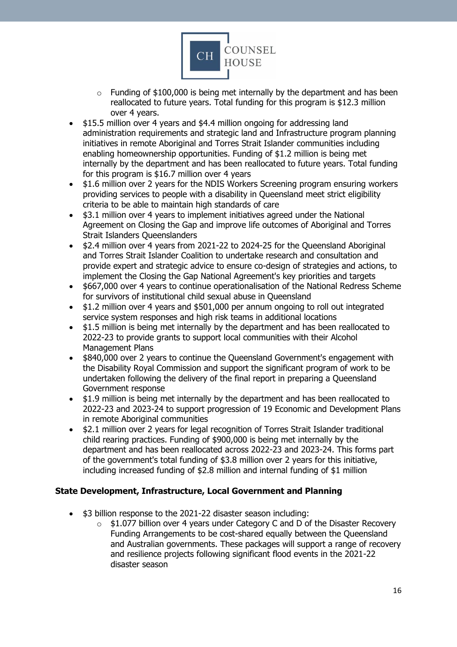

- $\circ$  Funding of \$100,000 is being met internally by the department and has been reallocated to future years. Total funding for this program is \$12.3 million over 4 years.
- \$15.5 million over 4 years and \$4.4 million ongoing for addressing land administration requirements and strategic land and Infrastructure program planning initiatives in remote Aboriginal and Torres Strait Islander communities including enabling homeownership opportunities. Funding of \$1.2 million is being met internally by the department and has been reallocated to future years. Total funding for this program is \$16.7 million over 4 years
- \$1.6 million over 2 years for the NDIS Workers Screening program ensuring workers providing services to people with a disability in Queensland meet strict eligibility criteria to be able to maintain high standards of care
- \$3.1 million over 4 years to implement initiatives agreed under the National Agreement on Closing the Gap and improve life outcomes of Aboriginal and Torres Strait Islanders Queenslanders
- \$2.4 million over 4 years from 2021-22 to 2024-25 for the Queensland Aboriginal and Torres Strait Islander Coalition to undertake research and consultation and provide expert and strategic advice to ensure co-design of strategies and actions, to implement the Closing the Gap National Agreement's key priorities and targets
- \$667,000 over 4 years to continue operationalisation of the National Redress Scheme for survivors of institutional child sexual abuse in Queensland
- \$1.2 million over 4 years and \$501,000 per annum ongoing to roll out integrated service system responses and high risk teams in additional locations
- \$1.5 million is being met internally by the department and has been reallocated to 2022-23 to provide grants to support local communities with their Alcohol Management Plans
- \$840,000 over 2 years to continue the Queensland Government's engagement with the Disability Royal Commission and support the significant program of work to be undertaken following the delivery of the final report in preparing a Queensland Government response
- \$1.9 million is being met internally by the department and has been reallocated to 2022-23 and 2023-24 to support progression of 19 Economic and Development Plans in remote Aboriginal communities
- \$2.1 million over 2 years for legal recognition of Torres Strait Islander traditional child rearing practices. Funding of \$900,000 is being met internally by the department and has been reallocated across 2022-23 and 2023-24. This forms part of the government's total funding of \$3.8 million over 2 years for this initiative, including increased funding of \$2.8 million and internal funding of \$1 million

# <span id="page-15-0"></span>**State Development, Infrastructure, Local Government and Planning**

- \$3 billion response to the 2021-22 disaster season including:
	- $\circ$  \$1.077 billion over 4 years under Category C and D of the Disaster Recovery Funding Arrangements to be cost-shared equally between the Queensland and Australian governments. These packages will support a range of recovery and resilience projects following significant flood events in the 2021-22 disaster season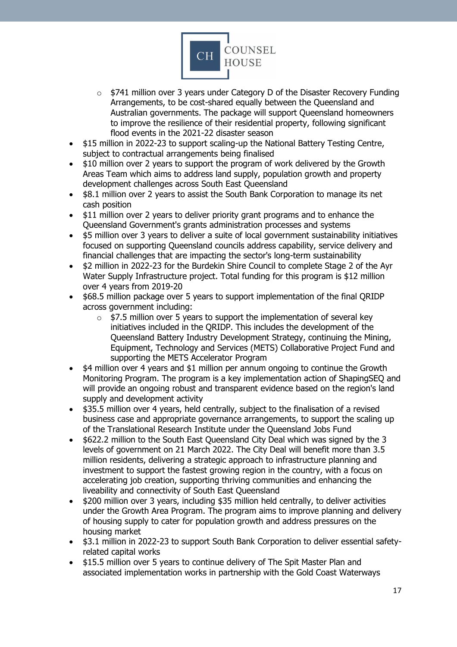

- $\circ$  \$741 million over 3 years under Category D of the Disaster Recovery Funding Arrangements, to be cost-shared equally between the Queensland and Australian governments. The package will support Queensland homeowners to improve the resilience of their residential property, following significant flood events in the 2021-22 disaster season
- \$15 million in 2022-23 to support scaling-up the National Battery Testing Centre, subject to contractual arrangements being finalised
- \$10 million over 2 years to support the program of work delivered by the Growth Areas Team which aims to address land supply, population growth and property development challenges across South East Queensland
- \$8.1 million over 2 years to assist the South Bank Corporation to manage its net cash position
- \$11 million over 2 years to deliver priority grant programs and to enhance the Queensland Government's grants administration processes and systems
- \$5 million over 3 years to deliver a suite of local government sustainability initiatives focused on supporting Queensland councils address capability, service delivery and financial challenges that are impacting the sector's long-term sustainability
- \$2 million in 2022-23 for the Burdekin Shire Council to complete Stage 2 of the Ayr Water Supply Infrastructure project. Total funding for this program is \$12 million over 4 years from 2019-20
- \$68.5 million package over 5 years to support implementation of the final QRIDP across government including:
	- $\circ$  \$7.5 million over 5 years to support the implementation of several key initiatives included in the QRIDP. This includes the development of the Queensland Battery Industry Development Strategy, continuing the Mining, Equipment, Technology and Services (METS) Collaborative Project Fund and supporting the METS Accelerator Program
- \$4 million over 4 years and \$1 million per annum ongoing to continue the Growth Monitoring Program. The program is a key implementation action of ShapingSEQ and will provide an ongoing robust and transparent evidence based on the region's land supply and development activity
- \$35.5 million over 4 years, held centrally, subject to the finalisation of a revised business case and appropriate governance arrangements, to support the scaling up of the Translational Research Institute under the Queensland Jobs Fund
- \$622.2 million to the South East Queensland City Deal which was signed by the 3 levels of government on 21 March 2022. The City Deal will benefit more than 3.5 million residents, delivering a strategic approach to infrastructure planning and investment to support the fastest growing region in the country, with a focus on accelerating job creation, supporting thriving communities and enhancing the liveability and connectivity of South East Queensland
- \$200 million over 3 years, including \$35 million held centrally, to deliver activities under the Growth Area Program. The program aims to improve planning and delivery of housing supply to cater for population growth and address pressures on the housing market
- \$3.1 million in 2022-23 to support South Bank Corporation to deliver essential safetyrelated capital works
- \$15.5 million over 5 years to continue delivery of The Spit Master Plan and associated implementation works in partnership with the Gold Coast Waterways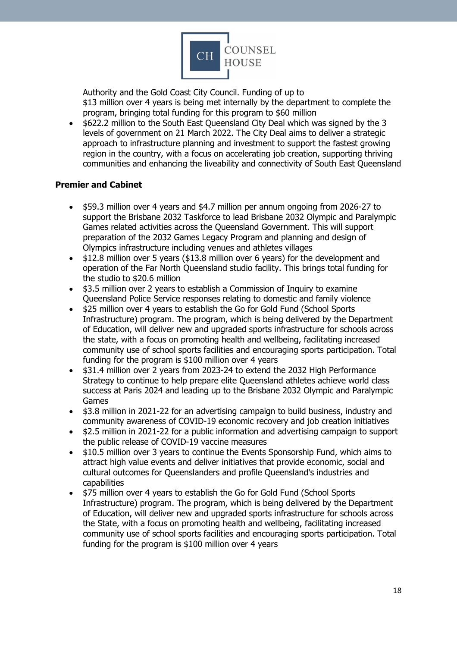

Authority and the Gold Coast City Council. Funding of up to \$13 million over 4 years is being met internally by the department to complete the program, bringing total funding for this program to \$60 million

• \$622.2 million to the South East Queensland City Deal which was signed by the 3 levels of government on 21 March 2022. The City Deal aims to deliver a strategic approach to infrastructure planning and investment to support the fastest growing region in the country, with a focus on accelerating job creation, supporting thriving communities and enhancing the liveability and connectivity of South East Queensland

#### <span id="page-17-0"></span>**Premier and Cabinet**

- \$59.3 million over 4 years and \$4.7 million per annum ongoing from 2026-27 to support the Brisbane 2032 Taskforce to lead Brisbane 2032 Olympic and Paralympic Games related activities across the Queensland Government. This will support preparation of the 2032 Games Legacy Program and planning and design of Olympics infrastructure including venues and athletes villages
- \$12.8 million over 5 years (\$13.8 million over 6 years) for the development and operation of the Far North Queensland studio facility. This brings total funding for the studio to \$20.6 million
- \$3.5 million over 2 years to establish a Commission of Inquiry to examine Queensland Police Service responses relating to domestic and family violence
- \$25 million over 4 years to establish the Go for Gold Fund (School Sports Infrastructure) program. The program, which is being delivered by the Department of Education, will deliver new and upgraded sports infrastructure for schools across the state, with a focus on promoting health and wellbeing, facilitating increased community use of school sports facilities and encouraging sports participation. Total funding for the program is \$100 million over 4 years
- \$31.4 million over 2 years from 2023-24 to extend the 2032 High Performance Strategy to continue to help prepare elite Queensland athletes achieve world class success at Paris 2024 and leading up to the Brisbane 2032 Olympic and Paralympic Games
- \$3.8 million in 2021-22 for an advertising campaign to build business, industry and community awareness of COVID-19 economic recovery and job creation initiatives
- \$2.5 million in 2021-22 for a public information and advertising campaign to support the public release of COVID-19 vaccine measures
- \$10.5 million over 3 years to continue the Events Sponsorship Fund, which aims to attract high value events and deliver initiatives that provide economic, social and cultural outcomes for Queenslanders and profile Queensland's industries and capabilities
- \$75 million over 4 years to establish the Go for Gold Fund (School Sports Infrastructure) program. The program, which is being delivered by the Department of Education, will deliver new and upgraded sports infrastructure for schools across the State, with a focus on promoting health and wellbeing, facilitating increased community use of school sports facilities and encouraging sports participation. Total funding for the program is \$100 million over 4 years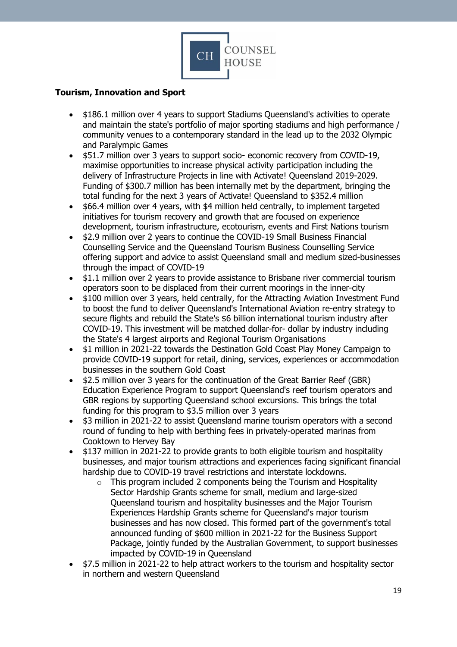

## <span id="page-18-0"></span>**Tourism, Innovation and Sport**

- \$186.1 million over 4 years to support Stadiums Queensland's activities to operate and maintain the state's portfolio of major sporting stadiums and high performance / community venues to a contemporary standard in the lead up to the 2032 Olympic and Paralympic Games
- \$51.7 million over 3 years to support socio- economic recovery from COVID-19, maximise opportunities to increase physical activity participation including the delivery of Infrastructure Projects in line with Activate! Queensland 2019-2029. Funding of \$300.7 million has been internally met by the department, bringing the total funding for the next 3 years of Activate! Queensland to \$352.4 million
- \$66.4 million over 4 years, with \$4 million held centrally, to implement targeted initiatives for tourism recovery and growth that are focused on experience development, tourism infrastructure, ecotourism, events and First Nations tourism
- \$2.9 million over 2 years to continue the COVID-19 Small Business Financial Counselling Service and the Queensland Tourism Business Counselling Service offering support and advice to assist Queensland small and medium sized-businesses through the impact of COVID-19
- \$1.1 million over 2 years to provide assistance to Brisbane river commercial tourism operators soon to be displaced from their current moorings in the inner-city
- \$100 million over 3 years, held centrally, for the Attracting Aviation Investment Fund to boost the fund to deliver Queensland's International Aviation re-entry strategy to secure flights and rebuild the State's \$6 billion international tourism industry after COVID-19. This investment will be matched dollar-for- dollar by industry including the State's 4 largest airports and Regional Tourism Organisations
- \$1 million in 2021-22 towards the Destination Gold Coast Play Money Campaign to provide COVID-19 support for retail, dining, services, experiences or accommodation businesses in the southern Gold Coast
- \$2.5 million over 3 years for the continuation of the Great Barrier Reef (GBR) Education Experience Program to support Queensland's reef tourism operators and GBR regions by supporting Queensland school excursions. This brings the total funding for this program to \$3.5 million over 3 years
- \$3 million in 2021-22 to assist Queensland marine tourism operators with a second round of funding to help with berthing fees in privately-operated marinas from Cooktown to Hervey Bay
- \$137 million in 2021-22 to provide grants to both eligible tourism and hospitality businesses, and major tourism attractions and experiences facing significant financial hardship due to COVID-19 travel restrictions and interstate lockdowns.
	- $\circ$  This program included 2 components being the Tourism and Hospitality Sector Hardship Grants scheme for small, medium and large-sized Queensland tourism and hospitality businesses and the Major Tourism Experiences Hardship Grants scheme for Queensland's major tourism businesses and has now closed. This formed part of the government's total announced funding of \$600 million in 2021-22 for the Business Support Package, jointly funded by the Australian Government, to support businesses impacted by COVID-19 in Queensland
- \$7.5 million in 2021-22 to help attract workers to the tourism and hospitality sector in northern and western Queensland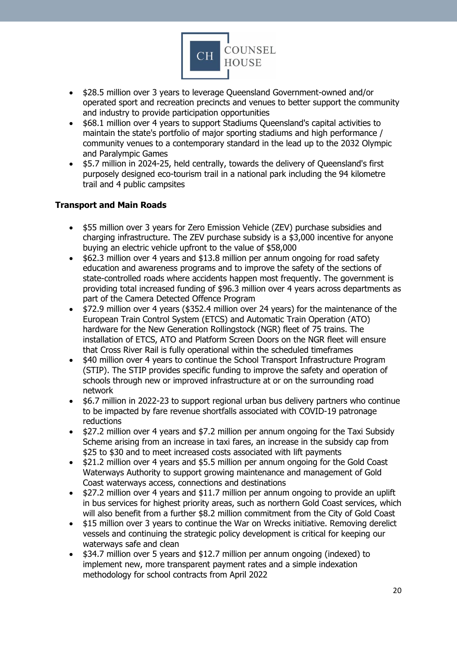

- \$28.5 million over 3 years to leverage Queensland Government-owned and/or operated sport and recreation precincts and venues to better support the community and industry to provide participation opportunities
- \$68.1 million over 4 years to support Stadiums Queensland's capital activities to maintain the state's portfolio of major sporting stadiums and high performance / community venues to a contemporary standard in the lead up to the 2032 Olympic and Paralympic Games
- \$5.7 million in 2024-25, held centrally, towards the delivery of Queensland's first purposely designed eco-tourism trail in a national park including the 94 kilometre trail and 4 public campsites

## <span id="page-19-0"></span>**Transport and Main Roads**

- \$55 million over 3 years for Zero Emission Vehicle (ZEV) purchase subsidies and charging infrastructure. The ZEV purchase subsidy is a \$3,000 incentive for anyone buying an electric vehicle upfront to the value of \$58,000
- \$62.3 million over 4 years and \$13.8 million per annum ongoing for road safety education and awareness programs and to improve the safety of the sections of state-controlled roads where accidents happen most frequently. The government is providing total increased funding of \$96.3 million over 4 years across departments as part of the Camera Detected Offence Program
- \$72.9 million over 4 years (\$352.4 million over 24 years) for the maintenance of the European Train Control System (ETCS) and Automatic Train Operation (ATO) hardware for the New Generation Rollingstock (NGR) fleet of 75 trains. The installation of ETCS, ATO and Platform Screen Doors on the NGR fleet will ensure that Cross River Rail is fully operational within the scheduled timeframes
- \$40 million over 4 years to continue the School Transport Infrastructure Program (STIP). The STIP provides specific funding to improve the safety and operation of schools through new or improved infrastructure at or on the surrounding road network
- \$6.7 million in 2022-23 to support regional urban bus delivery partners who continue to be impacted by fare revenue shortfalls associated with COVID-19 patronage reductions
- \$27.2 million over 4 years and \$7.2 million per annum ongoing for the Taxi Subsidy Scheme arising from an increase in taxi fares, an increase in the subsidy cap from \$25 to \$30 and to meet increased costs associated with lift payments
- \$21.2 million over 4 years and \$5.5 million per annum ongoing for the Gold Coast Waterways Authority to support growing maintenance and management of Gold Coast waterways access, connections and destinations
- \$27.2 million over 4 years and \$11.7 million per annum ongoing to provide an uplift in bus services for highest priority areas, such as northern Gold Coast services, which will also benefit from a further \$8.2 million commitment from the City of Gold Coast
- \$15 million over 3 years to continue the War on Wrecks initiative. Removing derelict vessels and continuing the strategic policy development is critical for keeping our waterways safe and clean
- \$34.7 million over 5 years and \$12.7 million per annum ongoing (indexed) to implement new, more transparent payment rates and a simple indexation methodology for school contracts from April 2022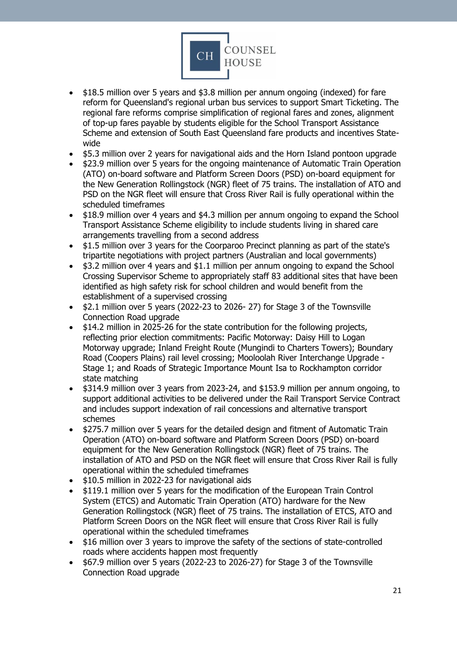

- \$18.5 million over 5 years and \$3.8 million per annum ongoing (indexed) for fare reform for Queensland's regional urban bus services to support Smart Ticketing. The regional fare reforms comprise simplification of regional fares and zones, alignment of top-up fares payable by students eligible for the School Transport Assistance Scheme and extension of South East Queensland fare products and incentives Statewide
- \$5.3 million over 2 years for navigational aids and the Horn Island pontoon upgrade
- \$23.9 million over 5 years for the ongoing maintenance of Automatic Train Operation (ATO) on-board software and Platform Screen Doors (PSD) on-board equipment for the New Generation Rollingstock (NGR) fleet of 75 trains. The installation of ATO and PSD on the NGR fleet will ensure that Cross River Rail is fully operational within the scheduled timeframes
- \$18.9 million over 4 years and \$4.3 million per annum ongoing to expand the School Transport Assistance Scheme eligibility to include students living in shared care arrangements travelling from a second address
- \$1.5 million over 3 years for the Coorparoo Precinct planning as part of the state's tripartite negotiations with project partners (Australian and local governments)
- \$3.2 million over 4 years and \$1.1 million per annum ongoing to expand the School Crossing Supervisor Scheme to appropriately staff 83 additional sites that have been identified as high safety risk for school children and would benefit from the establishment of a supervised crossing
- \$2.1 million over 5 years (2022-23 to 2026- 27) for Stage 3 of the Townsville Connection Road upgrade
- \$14.2 million in 2025-26 for the state contribution for the following projects, reflecting prior election commitments: Pacific Motorway: Daisy Hill to Logan Motorway upgrade; Inland Freight Route (Mungindi to Charters Towers); Boundary Road (Coopers Plains) rail level crossing; Mooloolah River Interchange Upgrade - Stage 1; and Roads of Strategic Importance Mount Isa to Rockhampton corridor state matching
- \$314.9 million over 3 years from 2023-24, and \$153.9 million per annum ongoing, to support additional activities to be delivered under the Rail Transport Service Contract and includes support indexation of rail concessions and alternative transport schemes
- \$275.7 million over 5 years for the detailed design and fitment of Automatic Train Operation (ATO) on-board software and Platform Screen Doors (PSD) on-board equipment for the New Generation Rollingstock (NGR) fleet of 75 trains. The installation of ATO and PSD on the NGR fleet will ensure that Cross River Rail is fully operational within the scheduled timeframes
- \$10.5 million in 2022-23 for navigational aids
- \$119.1 million over 5 years for the modification of the European Train Control System (ETCS) and Automatic Train Operation (ATO) hardware for the New Generation Rollingstock (NGR) fleet of 75 trains. The installation of ETCS, ATO and Platform Screen Doors on the NGR fleet will ensure that Cross River Rail is fully operational within the scheduled timeframes
- \$16 million over 3 years to improve the safety of the sections of state-controlled roads where accidents happen most frequently
- \$67.9 million over 5 years (2022-23 to 2026-27) for Stage 3 of the Townsville Connection Road upgrade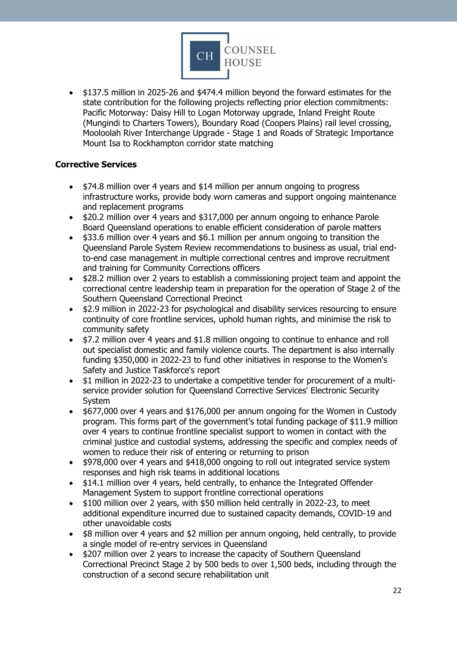

• \$137.5 million in 2025-26 and \$474.4 million beyond the forward estimates for the state contribution for the following projects reflecting prior election commitments: Pacific Motorway: Daisy Hill to Logan Motorway upgrade, Inland Freight Route (Mungindi to Charters Towers), Boundary Road (Coopers Plains) rail level crossing, Mooloolah River Interchange Upgrade - Stage 1 and Roads of Strategic Importance Mount Isa to Rockhampton corridor state matching

#### <span id="page-21-0"></span>**Corrective Services**

- \$74.8 million over 4 years and \$14 million per annum ongoing to progress infrastructure works, provide body worn cameras and support ongoing maintenance and replacement programs
- \$20.2 million over 4 years and \$317,000 per annum ongoing to enhance Parole Board Queensland operations to enable efficient consideration of parole matters
- \$33.6 million over 4 years and \$6.1 million per annum ongoing to transition the Queensland Parole System Review recommendations to business as usual, trial endto-end case management in multiple correctional centres and improve recruitment and training for Community Corrections officers
- \$28.2 million over 2 years to establish a commissioning project team and appoint the correctional centre leadership team in preparation for the operation of Stage 2 of the Southern Queensland Correctional Precinct
- \$2.9 million in 2022-23 for psychological and disability services resourcing to ensure continuity of core frontline services, uphold human rights, and minimise the risk to community safety
- \$7.2 million over 4 years and \$1.8 million ongoing to continue to enhance and roll out specialist domestic and family violence courts. The department is also internally funding \$350,000 in 2022-23 to fund other initiatives in response to the Women's Safety and Justice Taskforce's report
- \$1 million in 2022-23 to undertake a competitive tender for procurement of a multiservice provider solution for Queensland Corrective Services' Electronic Security System
- \$677,000 over 4 years and \$176,000 per annum ongoing for the Women in Custody program. This forms part of the government's total funding package of \$11.9 million over 4 years to continue frontline specialist support to women in contact with the criminal justice and custodial systems, addressing the specific and complex needs of women to reduce their risk of entering or returning to prison
- \$978,000 over 4 years and \$418,000 ongoing to roll out integrated service system responses and high risk teams in additional locations
- \$14.1 million over 4 years, held centrally, to enhance the Integrated Offender Management System to support frontline correctional operations
- \$100 million over 2 years, with \$50 million held centrally in 2022-23, to meet additional expenditure incurred due to sustained capacity demands, COVID-19 and other unavoidable costs
- \$8 million over 4 years and \$2 million per annum ongoing, held centrally, to provide a single model of re-entry services in Queensland
- \$207 million over 2 years to increase the capacity of Southern Queensland Correctional Precinct Stage 2 by 500 beds to over 1,500 beds, including through the construction of a second secure rehabilitation unit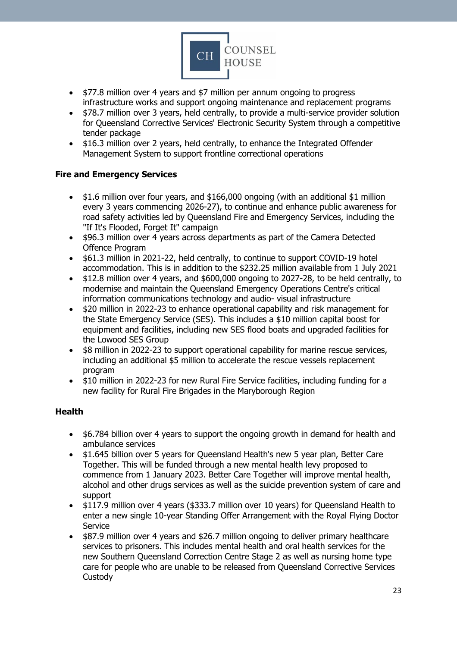

- \$77.8 million over 4 years and \$7 million per annum ongoing to progress infrastructure works and support ongoing maintenance and replacement programs
- \$78.7 million over 3 years, held centrally, to provide a multi-service provider solution for Queensland Corrective Services' Electronic Security System through a competitive tender package
- \$16.3 million over 2 years, held centrally, to enhance the Integrated Offender Management System to support frontline correctional operations

## <span id="page-22-0"></span>**Fire and Emergency Services**

- \$1.6 million over four years, and \$166,000 ongoing (with an additional \$1 million every 3 years commencing 2026-27), to continue and enhance public awareness for road safety activities led by Queensland Fire and Emergency Services, including the "If It's Flooded, Forget It" campaign
- \$96.3 million over 4 years across departments as part of the Camera Detected Offence Program
- \$61.3 million in 2021-22, held centrally, to continue to support COVID-19 hotel accommodation. This is in addition to the \$232.25 million available from 1 July 2021
- \$12.8 million over 4 years, and \$600,000 ongoing to 2027-28, to be held centrally, to modernise and maintain the Queensland Emergency Operations Centre's critical information communications technology and audio- visual infrastructure
- \$20 million in 2022-23 to enhance operational capability and risk management for the State Emergency Service (SES). This includes a \$10 million capital boost for equipment and facilities, including new SES flood boats and upgraded facilities for the Lowood SES Group
- \$8 million in 2022-23 to support operational capability for marine rescue services, including an additional \$5 million to accelerate the rescue vessels replacement program
- \$10 million in 2022-23 for new Rural Fire Service facilities, including funding for a new facility for Rural Fire Brigades in the Maryborough Region

#### <span id="page-22-1"></span>**Health**

- \$6.784 billion over 4 years to support the ongoing growth in demand for health and ambulance services
- \$1.645 billion over 5 years for Queensland Health's new 5 year plan, Better Care Together. This will be funded through a new mental health levy proposed to commence from 1 January 2023. Better Care Together will improve mental health, alcohol and other drugs services as well as the suicide prevention system of care and support
- \$117.9 million over 4 years (\$333.7 million over 10 years) for Queensland Health to enter a new single 10-year Standing Offer Arrangement with the Royal Flying Doctor **Service**
- \$87.9 million over 4 years and \$26.7 million ongoing to deliver primary healthcare services to prisoners. This includes mental health and oral health services for the new Southern Queensland Correction Centre Stage 2 as well as nursing home type care for people who are unable to be released from Queensland Corrective Services **Custody**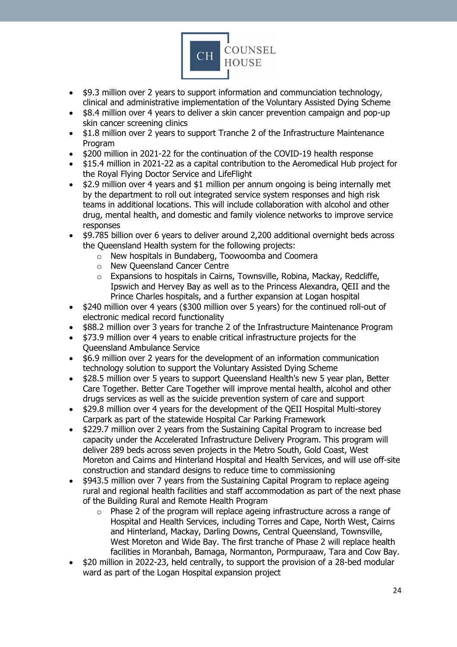

- \$9.3 million over 2 years to support information and communciation technology, clinical and administrative implementation of the Voluntary Assisted Dying Scheme
- \$8.4 million over 4 years to deliver a skin cancer prevention campaign and pop-up skin cancer screening clinics
- \$1.8 million over 2 years to support Tranche 2 of the Infrastructure Maintenance Program
- \$200 million in 2021-22 for the continuation of the COVID-19 health response
- \$15.4 million in 2021-22 as a capital contribution to the Aeromedical Hub project for the Royal Flying Doctor Service and LifeFlight
- \$2.9 million over 4 years and \$1 million per annum ongoing is being internally met by the department to roll out integrated service system responses and high risk teams in additional locations. This will include collaboration with alcohol and other drug, mental health, and domestic and family violence networks to improve service responses
- \$9.785 billion over 6 years to deliver around 2,200 additional overnight beds across the Queensland Health system for the following projects:
	- o New hospitals in Bundaberg, Toowoomba and Coomera
	- o New Queensland Cancer Centre
	- o Expansions to hospitals in Cairns, Townsville, Robina, Mackay, Redcliffe, Ipswich and Hervey Bay as well as to the Princess Alexandra, QEII and the Prince Charles hospitals, and a further expansion at Logan hospital
- \$240 million over 4 years (\$300 million over 5 years) for the continued roll-out of electronic medical record functionality
- \$88.2 million over 3 years for tranche 2 of the Infrastructure Maintenance Program
- \$73.9 million over 4 years to enable critical infrastructure projects for the Queensland Ambulance Service
- \$6.9 million over 2 years for the development of an information communication technology solution to support the Voluntary Assisted Dying Scheme
- \$28.5 million over 5 years to support Queensland Health's new 5 year plan, Better Care Together. Better Care Together will improve mental health, alcohol and other drugs services as well as the suicide prevention system of care and support
- \$29.8 million over 4 years for the development of the QEII Hospital Multi-storey Carpark as part of the statewide Hospital Car Parking Framework
- \$229.7 million over 2 years from the Sustaining Capital Program to increase bed capacity under the Accelerated Infrastructure Delivery Program. This program will deliver 289 beds across seven projects in the Metro South, Gold Coast, West Moreton and Cairns and Hinterland Hospital and Health Services, and will use off-site construction and standard designs to reduce time to commissioning
- \$943.5 million over 7 years from the Sustaining Capital Program to replace ageing rural and regional health facilities and staff accommodation as part of the next phase of the Building Rural and Remote Health Program
	- $\circ$  Phase 2 of the program will replace ageing infrastructure across a range of Hospital and Health Services, including Torres and Cape, North West, Cairns and Hinterland, Mackay, Darling Downs, Central Queensland, Townsville, West Moreton and Wide Bay. The first tranche of Phase 2 will replace health facilities in Moranbah, Bamaga, Normanton, Pormpuraaw, Tara and Cow Bay.
- \$20 million in 2022-23, held centrally, to support the provision of a 28-bed modular ward as part of the Logan Hospital expansion project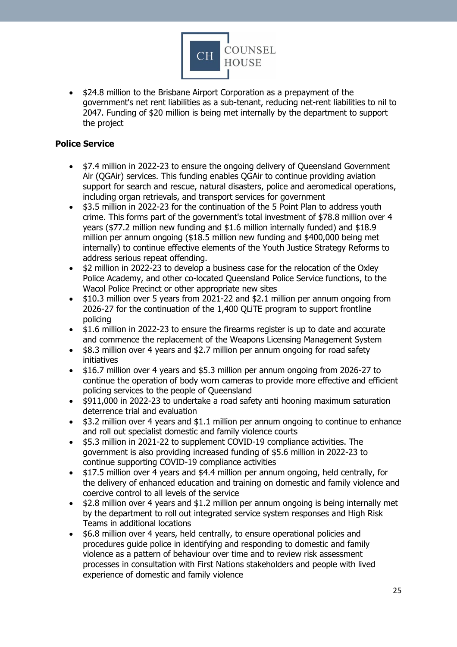

• \$24.8 million to the Brisbane Airport Corporation as a prepayment of the government's net rent liabilities as a sub-tenant, reducing net-rent liabilities to nil to 2047. Funding of \$20 million is being met internally by the department to support the project

### <span id="page-24-0"></span>**Police Service**

- \$7.4 million in 2022-23 to ensure the ongoing delivery of Queensland Government Air (QGAir) services. This funding enables QGAir to continue providing aviation support for search and rescue, natural disasters, police and aeromedical operations, including organ retrievals, and transport services for government
- \$3.5 million in 2022-23 for the continuation of the 5 Point Plan to address youth crime. This forms part of the government's total investment of \$78.8 million over 4 years (\$77.2 million new funding and \$1.6 million internally funded) and \$18.9 million per annum ongoing (\$18.5 million new funding and \$400,000 being met internally) to continue effective elements of the Youth Justice Strategy Reforms to address serious repeat offending.
- \$2 million in 2022-23 to develop a business case for the relocation of the Oxley Police Academy, and other co-located Queensland Police Service functions, to the Wacol Police Precinct or other appropriate new sites
- \$10.3 million over 5 years from 2021-22 and \$2.1 million per annum ongoing from 2026-27 for the continuation of the 1,400 QLiTE program to support frontline policing
- \$1.6 million in 2022-23 to ensure the firearms register is up to date and accurate and commence the replacement of the Weapons Licensing Management System
- \$8.3 million over 4 years and \$2.7 million per annum ongoing for road safety initiatives
- \$16.7 million over 4 years and \$5.3 million per annum ongoing from 2026-27 to continue the operation of body worn cameras to provide more effective and efficient policing services to the people of Queensland
- \$911,000 in 2022-23 to undertake a road safety anti hooning maximum saturation deterrence trial and evaluation
- \$3.2 million over 4 years and \$1.1 million per annum ongoing to continue to enhance and roll out specialist domestic and family violence courts
- \$5.3 million in 2021-22 to supplement COVID-19 compliance activities. The government is also providing increased funding of \$5.6 million in 2022-23 to continue supporting COVID-19 compliance activities
- \$17.5 million over 4 years and \$4.4 million per annum ongoing, held centrally, for the delivery of enhanced education and training on domestic and family violence and coercive control to all levels of the service
- \$2.8 million over 4 years and \$1.2 million per annum ongoing is being internally met by the department to roll out integrated service system responses and High Risk Teams in additional locations
- \$6.8 million over 4 years, held centrally, to ensure operational policies and procedures guide police in identifying and responding to domestic and family violence as a pattern of behaviour over time and to review risk assessment processes in consultation with First Nations stakeholders and people with lived experience of domestic and family violence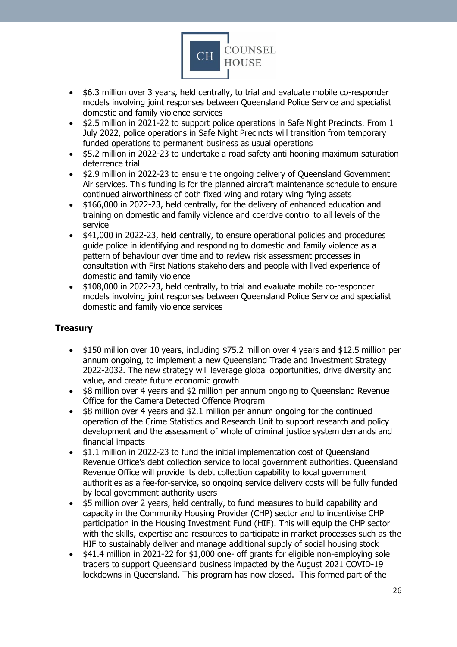

- \$6.3 million over 3 years, held centrally, to trial and evaluate mobile co-responder models involving joint responses between Queensland Police Service and specialist domestic and family violence services
- \$2.5 million in 2021-22 to support police operations in Safe Night Precincts. From 1 July 2022, police operations in Safe Night Precincts will transition from temporary funded operations to permanent business as usual operations
- \$5.2 million in 2022-23 to undertake a road safety anti hooning maximum saturation deterrence trial
- \$2.9 million in 2022-23 to ensure the ongoing delivery of Queensland Government Air services. This funding is for the planned aircraft maintenance schedule to ensure continued airworthiness of both fixed wing and rotary wing flying assets
- \$166,000 in 2022-23, held centrally, for the delivery of enhanced education and training on domestic and family violence and coercive control to all levels of the service
- \$41,000 in 2022-23, held centrally, to ensure operational policies and procedures guide police in identifying and responding to domestic and family violence as a pattern of behaviour over time and to review risk assessment processes in consultation with First Nations stakeholders and people with lived experience of domestic and family violence
- \$108,000 in 2022-23, held centrally, to trial and evaluate mobile co-responder models involving joint responses between Queensland Police Service and specialist domestic and family violence services

# <span id="page-25-0"></span>**Treasury**

- \$150 million over 10 years, including \$75.2 million over 4 years and \$12.5 million per annum ongoing, to implement a new Queensland Trade and Investment Strategy 2022-2032. The new strategy will leverage global opportunities, drive diversity and value, and create future economic growth
- \$8 million over 4 years and \$2 million per annum ongoing to Queensland Revenue Office for the Camera Detected Offence Program
- \$8 million over 4 years and \$2.1 million per annum ongoing for the continued operation of the Crime Statistics and Research Unit to support research and policy development and the assessment of whole of criminal justice system demands and financial impacts
- \$1.1 million in 2022-23 to fund the initial implementation cost of Queensland Revenue Office's debt collection service to local government authorities. Queensland Revenue Office will provide its debt collection capability to local government authorities as a fee-for-service, so ongoing service delivery costs will be fully funded by local government authority users
- \$5 million over 2 years, held centrally, to fund measures to build capability and capacity in the Community Housing Provider (CHP) sector and to incentivise CHP participation in the Housing Investment Fund (HIF). This will equip the CHP sector with the skills, expertise and resources to participate in market processes such as the HIF to sustainably deliver and manage additional supply of social housing stock
- \$41.4 million in 2021-22 for \$1,000 one- off grants for eligible non-employing sole traders to support Queensland business impacted by the August 2021 COVID-19 lockdowns in Queensland. This program has now closed. This formed part of the